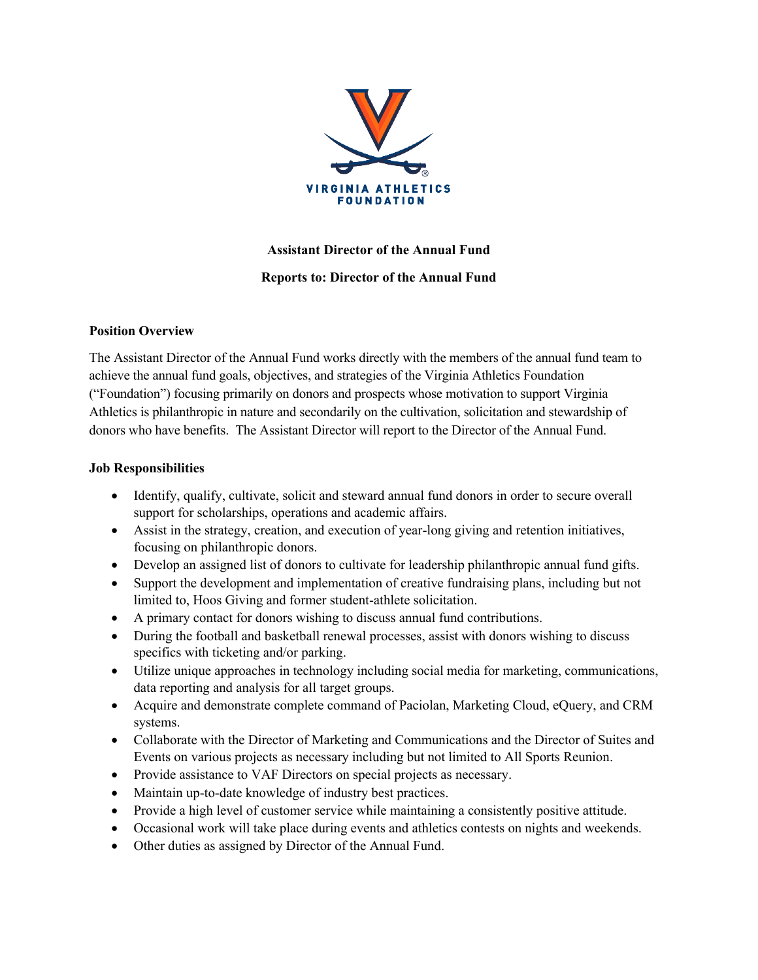

## **Assistant Director of the Annual Fund Reports to: Director of the Annual Fund**

## **Position Overview**

The Assistant Director of the Annual Fund works directly with the members of the annual fund team to achieve the annual fund goals, objectives, and strategies of the Virginia Athletics Foundation ("Foundation") focusing primarily on donors and prospects whose motivation to support Virginia Athletics is philanthropic in nature and secondarily on the cultivation, solicitation and stewardship of donors who have benefits. The Assistant Director will report to the Director of the Annual Fund.

## **Job Responsibilities**

- Identify, qualify, cultivate, solicit and steward annual fund donors in order to secure overall support for scholarships, operations and academic affairs.
- Assist in the strategy, creation, and execution of year-long giving and retention initiatives, focusing on philanthropic donors.
- Develop an assigned list of donors to cultivate for leadership philanthropic annual fund gifts.
- Support the development and implementation of creative fundraising plans, including but not limited to, Hoos Giving and former student-athlete solicitation.
- A primary contact for donors wishing to discuss annual fund contributions.
- During the football and basketball renewal processes, assist with donors wishing to discuss specifics with ticketing and/or parking.
- Utilize unique approaches in technology including social media for marketing, communications, data reporting and analysis for all target groups.
- Acquire and demonstrate complete command of Paciolan, Marketing Cloud, eQuery, and CRM systems.
- Collaborate with the Director of Marketing and Communications and the Director of Suites and Events on various projects as necessary including but not limited to All Sports Reunion.
- Provide assistance to VAF Directors on special projects as necessary.
- Maintain up-to-date knowledge of industry best practices.
- Provide a high level of customer service while maintaining a consistently positive attitude.
- Occasional work will take place during events and athletics contests on nights and weekends.
- Other duties as assigned by Director of the Annual Fund.